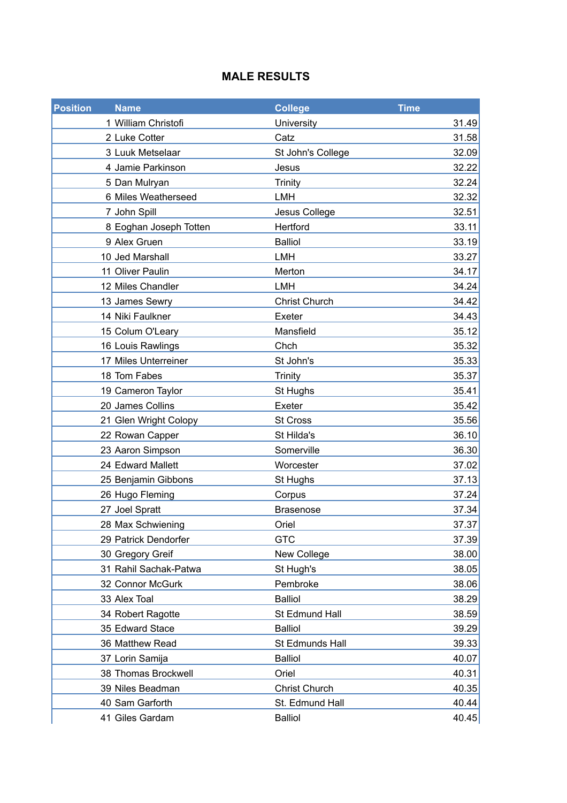### **MALE RESULTS**

| <b>Position</b> | <b>Name</b>            | <b>College</b>       | <b>Time</b> |
|-----------------|------------------------|----------------------|-------------|
|                 | 1 William Christofi    | University           | 31.49       |
|                 | 2 Luke Cotter          | Catz                 | 31.58       |
|                 | 3 Luuk Metselaar       | St John's College    | 32.09       |
|                 | 4 Jamie Parkinson      | Jesus                | 32.22       |
|                 | 5 Dan Mulryan          | <b>Trinity</b>       | 32.24       |
|                 | 6 Miles Weatherseed    | <b>LMH</b>           | 32.32       |
|                 | 7 John Spill           | Jesus College        | 32.51       |
|                 | 8 Eoghan Joseph Totten | Hertford             | 33.11       |
|                 | 9 Alex Gruen           | <b>Balliol</b>       | 33.19       |
|                 | 10 Jed Marshall        | LMH                  | 33.27       |
|                 | 11 Oliver Paulin       | Merton               | 34.17       |
|                 | 12 Miles Chandler      | <b>LMH</b>           | 34.24       |
|                 | 13 James Sewry         | <b>Christ Church</b> | 34.42       |
|                 | 14 Niki Faulkner       | Exeter               | 34.43       |
|                 | 15 Colum O'Leary       | Mansfield            | 35.12       |
|                 | 16 Louis Rawlings      | Chch                 | 35.32       |
|                 | 17 Miles Unterreiner   | St John's            | 35.33       |
|                 | 18 Tom Fabes           | Trinity              | 35.37       |
|                 | 19 Cameron Taylor      | St Hughs             | 35.41       |
|                 | 20 James Collins       | Exeter               | 35.42       |
|                 | 21 Glen Wright Colopy  | St Cross             | 35.56       |
|                 | 22 Rowan Capper        | St Hilda's           | 36.10       |
|                 | 23 Aaron Simpson       | Somerville           | 36.30       |
|                 | 24 Edward Mallett      | Worcester            | 37.02       |
|                 | 25 Benjamin Gibbons    | St Hughs             | 37.13       |
|                 | 26 Hugo Fleming        | Corpus               | 37.24       |
|                 | 27 Joel Spratt         | <b>Brasenose</b>     | 37.34       |
|                 | 28 Max Schwiening      | Oriel                | 37.37       |
|                 | 29 Patrick Dendorfer   | <b>GTC</b>           | 37.39       |
|                 | 30 Gregory Greif       | New College          | 38.00       |
|                 | 31 Rahil Sachak-Patwa  | St Hugh's            | 38.05       |
|                 | 32 Connor McGurk       | Pembroke             | 38.06       |
|                 | 33 Alex Toal           | <b>Balliol</b>       | 38.29       |
|                 | 34 Robert Ragotte      | St Edmund Hall       | 38.59       |
|                 | 35 Edward Stace        | <b>Balliol</b>       | 39.29       |
|                 | 36 Matthew Read        | St Edmunds Hall      | 39.33       |
|                 | 37 Lorin Samija        | <b>Balliol</b>       | 40.07       |
|                 | 38 Thomas Brockwell    | Oriel                | 40.31       |
|                 | 39 Niles Beadman       | <b>Christ Church</b> | 40.35       |
|                 | 40 Sam Garforth        | St. Edmund Hall      | 40.44       |
|                 | 41 Giles Gardam        | <b>Balliol</b>       | 40.45       |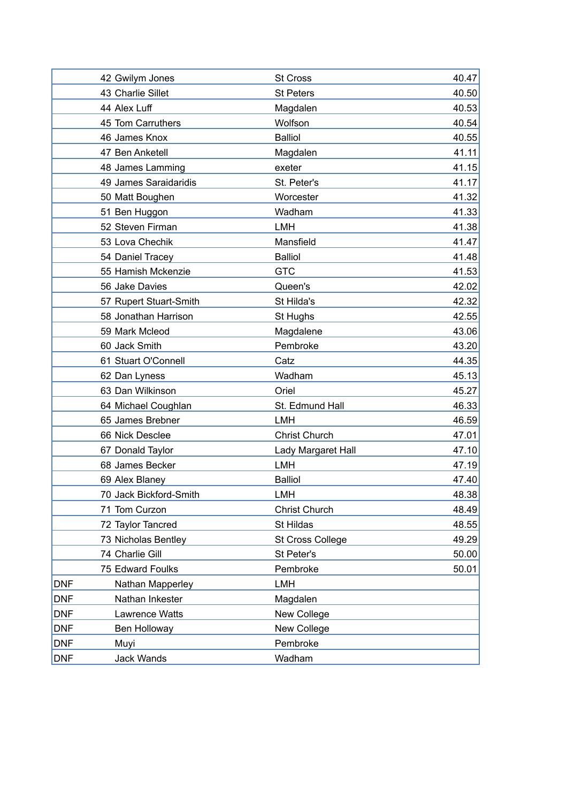| 43 Charlie Sillet<br><b>St Peters</b><br>40.50<br>40.53<br>44 Alex Luff<br>Magdalen<br>45 Tom Carruthers<br>Wolfson<br>40.54<br><b>Balliol</b><br>40.55<br>46 James Knox<br>41.11<br>47 Ben Anketell<br>Magdalen<br>41.15<br>48 James Lamming<br>exeter<br>49 James Saraidaridis<br>St. Peter's<br>Worcester<br>41.32<br>50 Matt Boughen<br>41.33<br>Wadham<br>51 Ben Huggon<br>52 Steven Firman<br><b>LMH</b><br>41.38<br>53 Lova Chechik<br>Mansfield<br>41.47<br><b>Balliol</b><br>41.48<br>54 Daniel Tracey<br>55 Hamish Mckenzie<br><b>GTC</b><br>41.53<br>42.02<br>56 Jake Davies<br>Queen's<br>St Hilda's<br>42.32<br>57 Rupert Stuart-Smith<br>58 Jonathan Harrison<br>42.55<br>St Hughs<br>59 Mark Mcleod<br>43.06<br>Magdalene<br>Pembroke<br>60 Jack Smith<br>43.20<br>Catz<br>44.35<br>61 Stuart O'Connell<br>Wadham<br>45.13<br>62 Dan Lyness<br>63 Dan Wilkinson<br>Oriel<br>45.27<br>46.33<br>64 Michael Coughlan<br>St. Edmund Hall<br>65 James Brebner<br><b>LMH</b><br>46.59<br><b>Christ Church</b><br>47.01<br>66 Nick Desclee<br>67 Donald Taylor<br>47.10<br>Lady Margaret Hall<br>68 James Becker<br><b>LMH</b><br>47.19<br><b>Balliol</b><br>69 Alex Blaney<br>47.40<br>48.38<br>70 Jack Bickford-Smith<br>LMH<br>48.49<br><b>Christ Church</b><br>71 Tom Curzon<br>72 Taylor Tancred<br>St Hildas<br>48.55<br>73 Nicholas Bentley<br>49.29<br><b>St Cross College</b><br>74 Charlie Gill<br>50.00<br>St Peter's<br>75 Edward Foulks<br>Pembroke<br>50.01<br><b>DNF</b><br>LMH<br>Nathan Mapperley<br><b>DNF</b><br>Nathan Inkester<br>Magdalen<br><b>DNF</b><br>Lawrence Watts<br>New College<br><b>DNF</b><br>Ben Holloway<br>New College<br><b>DNF</b><br>Pembroke<br>Muyi |            |                 |                 |       |
|-------------------------------------------------------------------------------------------------------------------------------------------------------------------------------------------------------------------------------------------------------------------------------------------------------------------------------------------------------------------------------------------------------------------------------------------------------------------------------------------------------------------------------------------------------------------------------------------------------------------------------------------------------------------------------------------------------------------------------------------------------------------------------------------------------------------------------------------------------------------------------------------------------------------------------------------------------------------------------------------------------------------------------------------------------------------------------------------------------------------------------------------------------------------------------------------------------------------------------------------------------------------------------------------------------------------------------------------------------------------------------------------------------------------------------------------------------------------------------------------------------------------------------------------------------------------------------------------------------------------------------------------------------------------------------------------------------|------------|-----------------|-----------------|-------|
|                                                                                                                                                                                                                                                                                                                                                                                                                                                                                                                                                                                                                                                                                                                                                                                                                                                                                                                                                                                                                                                                                                                                                                                                                                                                                                                                                                                                                                                                                                                                                                                                                                                                                                       |            | 42 Gwilym Jones | <b>St Cross</b> | 40.47 |
| 41.17                                                                                                                                                                                                                                                                                                                                                                                                                                                                                                                                                                                                                                                                                                                                                                                                                                                                                                                                                                                                                                                                                                                                                                                                                                                                                                                                                                                                                                                                                                                                                                                                                                                                                                 |            |                 |                 |       |
|                                                                                                                                                                                                                                                                                                                                                                                                                                                                                                                                                                                                                                                                                                                                                                                                                                                                                                                                                                                                                                                                                                                                                                                                                                                                                                                                                                                                                                                                                                                                                                                                                                                                                                       |            |                 |                 |       |
|                                                                                                                                                                                                                                                                                                                                                                                                                                                                                                                                                                                                                                                                                                                                                                                                                                                                                                                                                                                                                                                                                                                                                                                                                                                                                                                                                                                                                                                                                                                                                                                                                                                                                                       |            |                 |                 |       |
|                                                                                                                                                                                                                                                                                                                                                                                                                                                                                                                                                                                                                                                                                                                                                                                                                                                                                                                                                                                                                                                                                                                                                                                                                                                                                                                                                                                                                                                                                                                                                                                                                                                                                                       |            |                 |                 |       |
|                                                                                                                                                                                                                                                                                                                                                                                                                                                                                                                                                                                                                                                                                                                                                                                                                                                                                                                                                                                                                                                                                                                                                                                                                                                                                                                                                                                                                                                                                                                                                                                                                                                                                                       |            |                 |                 |       |
|                                                                                                                                                                                                                                                                                                                                                                                                                                                                                                                                                                                                                                                                                                                                                                                                                                                                                                                                                                                                                                                                                                                                                                                                                                                                                                                                                                                                                                                                                                                                                                                                                                                                                                       |            |                 |                 |       |
|                                                                                                                                                                                                                                                                                                                                                                                                                                                                                                                                                                                                                                                                                                                                                                                                                                                                                                                                                                                                                                                                                                                                                                                                                                                                                                                                                                                                                                                                                                                                                                                                                                                                                                       |            |                 |                 |       |
|                                                                                                                                                                                                                                                                                                                                                                                                                                                                                                                                                                                                                                                                                                                                                                                                                                                                                                                                                                                                                                                                                                                                                                                                                                                                                                                                                                                                                                                                                                                                                                                                                                                                                                       |            |                 |                 |       |
|                                                                                                                                                                                                                                                                                                                                                                                                                                                                                                                                                                                                                                                                                                                                                                                                                                                                                                                                                                                                                                                                                                                                                                                                                                                                                                                                                                                                                                                                                                                                                                                                                                                                                                       |            |                 |                 |       |
|                                                                                                                                                                                                                                                                                                                                                                                                                                                                                                                                                                                                                                                                                                                                                                                                                                                                                                                                                                                                                                                                                                                                                                                                                                                                                                                                                                                                                                                                                                                                                                                                                                                                                                       |            |                 |                 |       |
|                                                                                                                                                                                                                                                                                                                                                                                                                                                                                                                                                                                                                                                                                                                                                                                                                                                                                                                                                                                                                                                                                                                                                                                                                                                                                                                                                                                                                                                                                                                                                                                                                                                                                                       |            |                 |                 |       |
|                                                                                                                                                                                                                                                                                                                                                                                                                                                                                                                                                                                                                                                                                                                                                                                                                                                                                                                                                                                                                                                                                                                                                                                                                                                                                                                                                                                                                                                                                                                                                                                                                                                                                                       |            |                 |                 |       |
|                                                                                                                                                                                                                                                                                                                                                                                                                                                                                                                                                                                                                                                                                                                                                                                                                                                                                                                                                                                                                                                                                                                                                                                                                                                                                                                                                                                                                                                                                                                                                                                                                                                                                                       |            |                 |                 |       |
|                                                                                                                                                                                                                                                                                                                                                                                                                                                                                                                                                                                                                                                                                                                                                                                                                                                                                                                                                                                                                                                                                                                                                                                                                                                                                                                                                                                                                                                                                                                                                                                                                                                                                                       |            |                 |                 |       |
|                                                                                                                                                                                                                                                                                                                                                                                                                                                                                                                                                                                                                                                                                                                                                                                                                                                                                                                                                                                                                                                                                                                                                                                                                                                                                                                                                                                                                                                                                                                                                                                                                                                                                                       |            |                 |                 |       |
|                                                                                                                                                                                                                                                                                                                                                                                                                                                                                                                                                                                                                                                                                                                                                                                                                                                                                                                                                                                                                                                                                                                                                                                                                                                                                                                                                                                                                                                                                                                                                                                                                                                                                                       |            |                 |                 |       |
|                                                                                                                                                                                                                                                                                                                                                                                                                                                                                                                                                                                                                                                                                                                                                                                                                                                                                                                                                                                                                                                                                                                                                                                                                                                                                                                                                                                                                                                                                                                                                                                                                                                                                                       |            |                 |                 |       |
|                                                                                                                                                                                                                                                                                                                                                                                                                                                                                                                                                                                                                                                                                                                                                                                                                                                                                                                                                                                                                                                                                                                                                                                                                                                                                                                                                                                                                                                                                                                                                                                                                                                                                                       |            |                 |                 |       |
|                                                                                                                                                                                                                                                                                                                                                                                                                                                                                                                                                                                                                                                                                                                                                                                                                                                                                                                                                                                                                                                                                                                                                                                                                                                                                                                                                                                                                                                                                                                                                                                                                                                                                                       |            |                 |                 |       |
|                                                                                                                                                                                                                                                                                                                                                                                                                                                                                                                                                                                                                                                                                                                                                                                                                                                                                                                                                                                                                                                                                                                                                                                                                                                                                                                                                                                                                                                                                                                                                                                                                                                                                                       |            |                 |                 |       |
|                                                                                                                                                                                                                                                                                                                                                                                                                                                                                                                                                                                                                                                                                                                                                                                                                                                                                                                                                                                                                                                                                                                                                                                                                                                                                                                                                                                                                                                                                                                                                                                                                                                                                                       |            |                 |                 |       |
|                                                                                                                                                                                                                                                                                                                                                                                                                                                                                                                                                                                                                                                                                                                                                                                                                                                                                                                                                                                                                                                                                                                                                                                                                                                                                                                                                                                                                                                                                                                                                                                                                                                                                                       |            |                 |                 |       |
|                                                                                                                                                                                                                                                                                                                                                                                                                                                                                                                                                                                                                                                                                                                                                                                                                                                                                                                                                                                                                                                                                                                                                                                                                                                                                                                                                                                                                                                                                                                                                                                                                                                                                                       |            |                 |                 |       |
|                                                                                                                                                                                                                                                                                                                                                                                                                                                                                                                                                                                                                                                                                                                                                                                                                                                                                                                                                                                                                                                                                                                                                                                                                                                                                                                                                                                                                                                                                                                                                                                                                                                                                                       |            |                 |                 |       |
|                                                                                                                                                                                                                                                                                                                                                                                                                                                                                                                                                                                                                                                                                                                                                                                                                                                                                                                                                                                                                                                                                                                                                                                                                                                                                                                                                                                                                                                                                                                                                                                                                                                                                                       |            |                 |                 |       |
|                                                                                                                                                                                                                                                                                                                                                                                                                                                                                                                                                                                                                                                                                                                                                                                                                                                                                                                                                                                                                                                                                                                                                                                                                                                                                                                                                                                                                                                                                                                                                                                                                                                                                                       |            |                 |                 |       |
|                                                                                                                                                                                                                                                                                                                                                                                                                                                                                                                                                                                                                                                                                                                                                                                                                                                                                                                                                                                                                                                                                                                                                                                                                                                                                                                                                                                                                                                                                                                                                                                                                                                                                                       |            |                 |                 |       |
|                                                                                                                                                                                                                                                                                                                                                                                                                                                                                                                                                                                                                                                                                                                                                                                                                                                                                                                                                                                                                                                                                                                                                                                                                                                                                                                                                                                                                                                                                                                                                                                                                                                                                                       |            |                 |                 |       |
|                                                                                                                                                                                                                                                                                                                                                                                                                                                                                                                                                                                                                                                                                                                                                                                                                                                                                                                                                                                                                                                                                                                                                                                                                                                                                                                                                                                                                                                                                                                                                                                                                                                                                                       |            |                 |                 |       |
|                                                                                                                                                                                                                                                                                                                                                                                                                                                                                                                                                                                                                                                                                                                                                                                                                                                                                                                                                                                                                                                                                                                                                                                                                                                                                                                                                                                                                                                                                                                                                                                                                                                                                                       |            |                 |                 |       |
|                                                                                                                                                                                                                                                                                                                                                                                                                                                                                                                                                                                                                                                                                                                                                                                                                                                                                                                                                                                                                                                                                                                                                                                                                                                                                                                                                                                                                                                                                                                                                                                                                                                                                                       |            |                 |                 |       |
|                                                                                                                                                                                                                                                                                                                                                                                                                                                                                                                                                                                                                                                                                                                                                                                                                                                                                                                                                                                                                                                                                                                                                                                                                                                                                                                                                                                                                                                                                                                                                                                                                                                                                                       |            |                 |                 |       |
|                                                                                                                                                                                                                                                                                                                                                                                                                                                                                                                                                                                                                                                                                                                                                                                                                                                                                                                                                                                                                                                                                                                                                                                                                                                                                                                                                                                                                                                                                                                                                                                                                                                                                                       |            |                 |                 |       |
|                                                                                                                                                                                                                                                                                                                                                                                                                                                                                                                                                                                                                                                                                                                                                                                                                                                                                                                                                                                                                                                                                                                                                                                                                                                                                                                                                                                                                                                                                                                                                                                                                                                                                                       |            |                 |                 |       |
|                                                                                                                                                                                                                                                                                                                                                                                                                                                                                                                                                                                                                                                                                                                                                                                                                                                                                                                                                                                                                                                                                                                                                                                                                                                                                                                                                                                                                                                                                                                                                                                                                                                                                                       |            |                 |                 |       |
|                                                                                                                                                                                                                                                                                                                                                                                                                                                                                                                                                                                                                                                                                                                                                                                                                                                                                                                                                                                                                                                                                                                                                                                                                                                                                                                                                                                                                                                                                                                                                                                                                                                                                                       |            |                 |                 |       |
|                                                                                                                                                                                                                                                                                                                                                                                                                                                                                                                                                                                                                                                                                                                                                                                                                                                                                                                                                                                                                                                                                                                                                                                                                                                                                                                                                                                                                                                                                                                                                                                                                                                                                                       |            |                 |                 |       |
|                                                                                                                                                                                                                                                                                                                                                                                                                                                                                                                                                                                                                                                                                                                                                                                                                                                                                                                                                                                                                                                                                                                                                                                                                                                                                                                                                                                                                                                                                                                                                                                                                                                                                                       |            |                 |                 |       |
|                                                                                                                                                                                                                                                                                                                                                                                                                                                                                                                                                                                                                                                                                                                                                                                                                                                                                                                                                                                                                                                                                                                                                                                                                                                                                                                                                                                                                                                                                                                                                                                                                                                                                                       | <b>DNF</b> | Jack Wands      | Wadham          |       |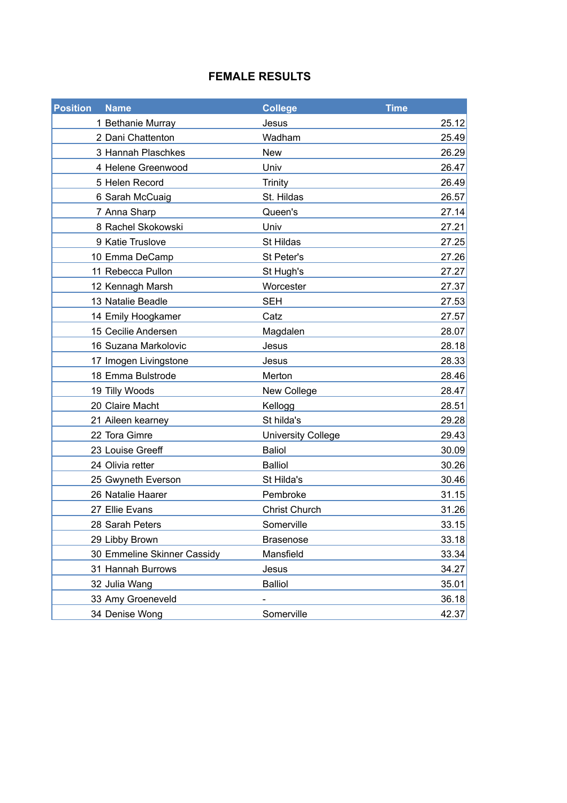### **FEMALE RESULTS**

| <b>Position</b><br><b>Name</b> | <b>College</b>            | <b>Time</b> |
|--------------------------------|---------------------------|-------------|
| 1 Bethanie Murray              | Jesus                     | 25.12       |
| 2 Dani Chattenton              | Wadham                    | 25.49       |
| 3 Hannah Plaschkes             | <b>New</b>                | 26.29       |
| 4 Helene Greenwood             | Univ                      | 26.47       |
| 5 Helen Record                 | <b>Trinity</b>            | 26.49       |
| 6 Sarah McCuaig                | St. Hildas                | 26.57       |
| 7 Anna Sharp                   | Queen's                   | 27.14       |
| 8 Rachel Skokowski             | Univ                      | 27.21       |
| 9 Katie Truslove               | St Hildas                 | 27.25       |
| 10 Emma DeCamp                 | St Peter's                | 27.26       |
| 11 Rebecca Pullon              | St Hugh's                 | 27.27       |
| 12 Kennagh Marsh               | Worcester                 | 27.37       |
| 13 Natalie Beadle              | <b>SEH</b>                | 27.53       |
| 14 Emily Hoogkamer             | Catz                      | 27.57       |
| 15 Cecilie Andersen            | Magdalen                  | 28.07       |
| 16 Suzana Markolovic           | Jesus                     | 28.18       |
| 17 Imogen Livingstone          | Jesus                     | 28.33       |
| 18 Emma Bulstrode              | Merton                    | 28.46       |
| 19 Tilly Woods                 | New College               | 28.47       |
| 20 Claire Macht                | Kellogg                   | 28.51       |
| 21 Aileen kearney              | St hilda's                | 29.28       |
| 22 Tora Gimre                  | <b>University College</b> | 29.43       |
| 23 Louise Greeff               | <b>Baliol</b>             | 30.09       |
| 24 Olivia retter               | <b>Balliol</b>            | 30.26       |
| 25 Gwyneth Everson             | St Hilda's                | 30.46       |
| 26 Natalie Haarer              | Pembroke                  | 31.15       |
| 27 Ellie Evans                 | <b>Christ Church</b>      | 31.26       |
| 28 Sarah Peters                | Somerville                | 33.15       |
| 29 Libby Brown                 | <b>Brasenose</b>          | 33.18       |
| 30 Emmeline Skinner Cassidy    | Mansfield                 | 33.34       |
| 31 Hannah Burrows              | Jesus                     | 34.27       |
| 32 Julia Wang                  | <b>Balliol</b>            | 35.01       |
| 33 Amy Groeneveld              |                           | 36.18       |
| 34 Denise Wong                 | Somerville                | 42.37       |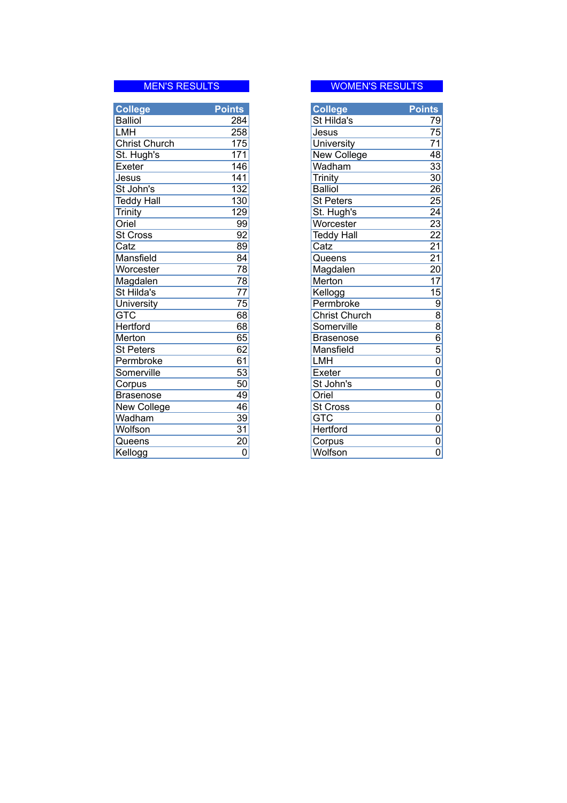| <b>College</b>       | <b>Points</b>   | <b>College</b>       | <b>Points</b>   |
|----------------------|-----------------|----------------------|-----------------|
| <b>Balliol</b>       | 284             | St Hilda's           | 79              |
| <b>LMH</b>           | 258             | Jesus                | 75              |
| <b>Christ Church</b> | 175             | University           | 71              |
| St. Hugh's           | 171             | New College          | 48              |
| Exeter               | 146             | Wadham               | 33              |
| Jesus                | 141             | Trinity              | 30              |
| St John's            | 132             | <b>Balliol</b>       | $\overline{26}$ |
| <b>Teddy Hall</b>    | 130             | <b>St Peters</b>     | 25              |
| Trinity              | 129             | St. Hugh's           | 24              |
| Oriel                | 99              | Worcester            | 23              |
| <b>St Cross</b>      | 92              | <b>Teddy Hall</b>    | $\overline{22}$ |
| Catz                 | 89              | Catz                 | $\overline{21}$ |
| Mansfield            | 84              | Queens               | $\overline{21}$ |
| Worcester            | 78              | Magdalen             | $\overline{20}$ |
| Magdalen             | 78              | Merton               | $\overline{17}$ |
| St Hilda's           | $\overline{77}$ | Kellogg              | 15              |
| University           | $\overline{75}$ | Permbroke            | 9               |
| <b>GTC</b>           | 68              | <b>Christ Church</b> | $\overline{8}$  |
| <b>Hertford</b>      | $\overline{68}$ | Somerville           | $\overline{8}$  |
| Merton               | 65              | <b>Brasenose</b>     | $\overline{6}$  |
| <b>St Peters</b>     | 62              | Mansfield            | $\overline{5}$  |
| Permbroke            | 61              | LMH                  | 0               |
| Somerville           | 53              | Exeter               | $\overline{0}$  |
| Corpus               | $\overline{50}$ | St John's            | 0               |
| <b>Brasenose</b>     | 49              | Oriel                | $\overline{0}$  |
| New College          | 46              | <b>St Cross</b>      | 0               |
| Wadham               | $\overline{39}$ | <b>GTC</b>           | $\overline{0}$  |
| Wolfson              | $\overline{31}$ | Hertford             | $\overline{0}$  |
| Queens               | $\overline{20}$ | Corpus               | $\overline{0}$  |
| Kellogg              | 0               | Wolfson              | $\overline{0}$  |

# MEN'S RESULTS Entertainment of the MOMEN'S RESULTS

| <b>College</b>       | <u>Points</u>             |
|----------------------|---------------------------|
| St Hilda's           | 79                        |
| Jesus                | $\overline{7}5$           |
| University           | $\overline{71}$           |
| New College          | 48                        |
| Wadham               | $\overline{3}3$           |
| Trinity              | 30                        |
| <b>Balliol</b>       | $\overline{26}$           |
| <b>St Peters</b>     | $\overline{25}$           |
| St. Hugh's           | 24                        |
| Worcester            | 23                        |
| <b>Teddy Hall</b>    | 22                        |
| Catz                 | $\overline{21}$           |
| Queens               | $\overline{21}$           |
| Magdalen             | $\overline{20}$           |
| Merton               | 17                        |
| Kellogg              | 15                        |
| Permbroke            |                           |
| <b>Christ Church</b> |                           |
| Somerville           |                           |
| <b>Brasenose</b>     |                           |
| Mansfield            |                           |
| LMH                  |                           |
| Exeter               |                           |
| St John's            |                           |
| Oriel                |                           |
| St Cross             | 0000000000000000          |
| <b>GTC</b>           |                           |
| Hertford             |                           |
| Corpus               |                           |
| Wolfson              | $\overline{\mathfrak{o}}$ |